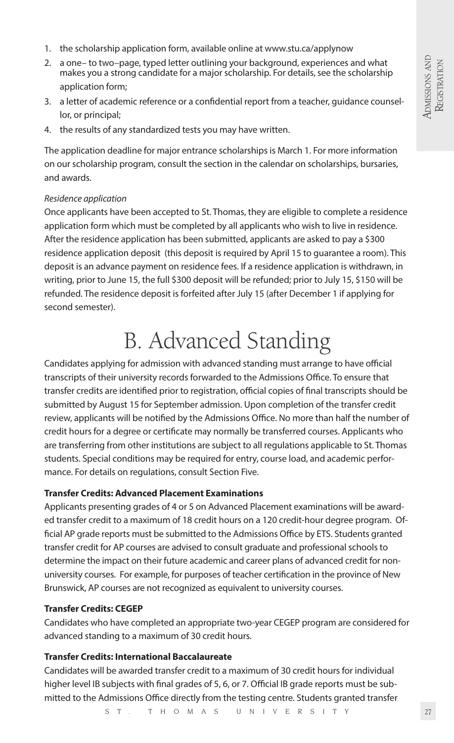- 1. the scholarship application form, available online at www.stu.ca/applynow
- 2. a one– to two–page, typed letter outlining your background, experiences and what makes you a strong candidate for a major scholarship. For details, see the scholarship application form;
- 3. a letter of academic reference or a confidential report from a teacher, guidance counsellor, or principal;
- 4. the results of any standardized tests you may have written.

The application deadline for major entrance scholarships is March 1. For more information on our scholarship program, consult the section in the calendar on scholarships, bursaries, and awards.

#### *Residence application*

Once applicants have been accepted to St. Thomas, they are eligible to complete a residence application form which must be completed by all applicants who wish to live in residence. After the residence application has been submitted, applicants are asked to pay a \$300 residence application deposit (this deposit is required by April 15 to guarantee a room). This deposit is an advance payment on residence fees. If a residence application is withdrawn, in writing, prior to June 15, the full \$300 deposit will be refunded; prior to July 15, \$150 will be refunded. The residence deposit is forfeited after July 15 (after December 1 if applying for second semester).

# B. Advanced Standing

Candidates applying for admission with advanced standing must arrange to have official transcripts of their university records forwarded to the Admissions Office. To ensure that transfer credits are identified prior to registration, official copies of final transcripts should be submitted by August 15 for September admission. Upon completion of the transfer credit review, applicants will be notified by the Admissions Office. No more than half the number of credit hours for a degree or certificate may normally be transferred courses. Applicants who are transferring from other institutions are subject to all regulations applicable to St. Thomas students. Special conditions may be required for entry, course load, and academic performance. For details on regulations, consult Section Five.

#### **Transfer Credits: Advanced Placement Examinations**

Applicants presenting grades of 4 or 5 on Advanced Placement examinations will be awarded transfer credit to a maximum of 18 credit hours on a 120 credit-hour degree program. Official AP grade reports must be submitted to the Admissions Office by ETS. Students granted transfer credit for AP courses are advised to consult graduate and professional schools to determine the impact on their future academic and career plans of advanced credit for nonuniversity courses. For example, for purposes of teacher certification in the province of New Brunswick, AP courses are not recognized as equivalent to university courses.

#### **Transfer Credits: CEGEP**

Candidates who have completed an appropriate two-year CEGEP program are considered for advanced standing to a maximum of 30 credit hours.

#### **Transfer Credits: International Baccalaureate**

Candidates will be awarded transfer credit to a maximum of 30 credit hours for individual higher level IB subjects with final grades of 5, 6, or 7. Official IB grade reports must be submitted to the Admissions Office directly from the testing centre. Students granted transfer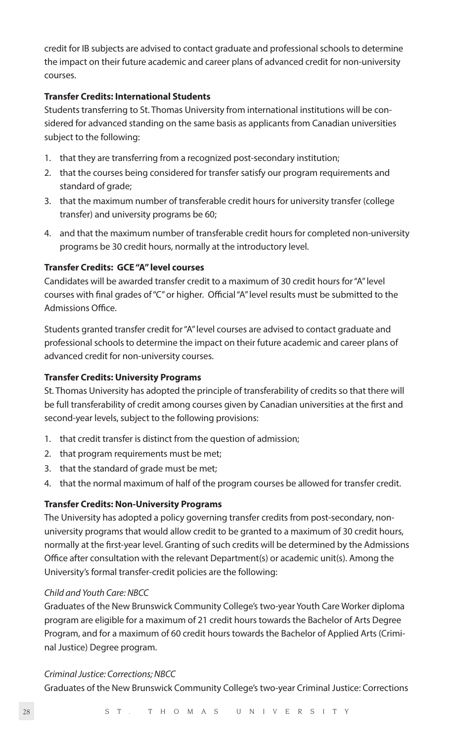credit for IB subjects are advised to contact graduate and professional schools to determine the impact on their future academic and career plans of advanced credit for non-university courses.

# **Transfer Credits: International Students**

Students transferring to St. Thomas University from international institutions will be considered for advanced standing on the same basis as applicants from Canadian universities subject to the following:

- 1. that they are transferring from a recognized post-secondary institution;
- 2. that the courses being considered for transfer satisfy our program requirements and standard of grade;
- 3. that the maximum number of transferable credit hours for university transfer (college transfer) and university programs be 60;
- 4. and that the maximum number of transferable credit hours for completed non-university programs be 30 credit hours, normally at the introductory level.

# **Transfer Credits: GCE "A" level courses**

Candidates will be awarded transfer credit to a maximum of 30 credit hours for "A" level courses with final grades of "C" or higher. Official "A" level results must be submitted to the Admissions Office.

Students granted transfer credit for "A" level courses are advised to contact graduate and professional schools to determine the impact on their future academic and career plans of advanced credit for non-university courses.

#### **Transfer Credits: University Programs**

St. Thomas University has adopted the principle of transferability of credits so that there will be full transferability of credit among courses given by Canadian universities at the first and second-year levels, subject to the following provisions:

- 1. that credit transfer is distinct from the question of admission;
- 2. that program requirements must be met;
- 3. that the standard of grade must be met;
- 4. that the normal maximum of half of the program courses be allowed for transfer credit.

#### **Transfer Credits: Non-University Programs**

The University has adopted a policy governing transfer credits from post-secondary, nonuniversity programs that would allow credit to be granted to a maximum of 30 credit hours, normally at the first-year level. Granting of such credits will be determined by the Admissions Office after consultation with the relevant Department(s) or academic unit(s). Among the University's formal transfer-credit policies are the following:

#### *Child and Youth Care: NBCC*

Graduates of the New Brunswick Community College's two-year Youth Care Worker diploma program are eligible for a maximum of 21 credit hours towards the Bachelor of Arts Degree Program, and for a maximum of 60 credit hours towards the Bachelor of Applied Arts (Criminal Justice) Degree program.

# *Criminal Justice: Corrections; NBCC*

Graduates of the New Brunswick Community College's two-year Criminal Justice: Corrections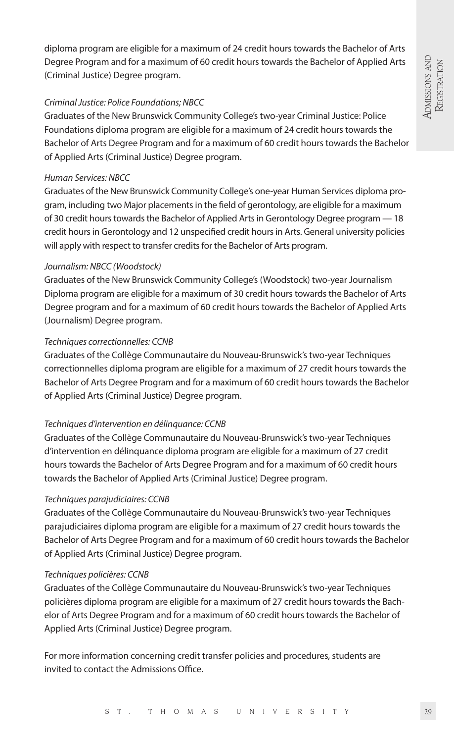diploma program are eligible for a maximum of 24 credit hours towards the Bachelor of Arts Degree Program and for a maximum of 60 credit hours towards the Bachelor of Applied Arts (Criminal Justice) Degree program.

# *Criminal Justice: Police Foundations; NBCC*

Graduates of the New Brunswick Community College's two-year Criminal Justice: Police Foundations diploma program are eligible for a maximum of 24 credit hours towards the Bachelor of Arts Degree Program and for a maximum of 60 credit hours towards the Bachelor of Applied Arts (Criminal Justice) Degree program.

# *Human Services: NBCC*

Graduates of the New Brunswick Community College's one-year Human Services diploma program, including two Major placements in the field of gerontology, are eligible for a maximum of 30 credit hours towards the Bachelor of Applied Arts in Gerontology Degree program — 18 credit hours in Gerontology and 12 unspecified credit hours in Arts. General university policies will apply with respect to transfer credits for the Bachelor of Arts program.

#### *Journalism: NBCC (Woodstock)*

Graduates of the New Brunswick Community College's (Woodstock) two-year Journalism Diploma program are eligible for a maximum of 30 credit hours towards the Bachelor of Arts Degree program and for a maximum of 60 credit hours towards the Bachelor of Applied Arts (Journalism) Degree program.

# *Techniques correctionnelles: CCNB*

Graduates of the Collège Communautaire du Nouveau-Brunswick's two-year Techniques correctionnelles diploma program are eligible for a maximum of 27 credit hours towards the Bachelor of Arts Degree Program and for a maximum of 60 credit hours towards the Bachelor of Applied Arts (Criminal Justice) Degree program.

# *Techniques d'intervention en délinquance: CCNB*

Graduates of the Collège Communautaire du Nouveau-Brunswick's two-year Techniques d'intervention en délinquance diploma program are eligible for a maximum of 27 credit hours towards the Bachelor of Arts Degree Program and for a maximum of 60 credit hours towards the Bachelor of Applied Arts (Criminal Justice) Degree program.

# *Techniques parajudiciaires: CCNB*

Graduates of the Collège Communautaire du Nouveau-Brunswick's two-year Techniques parajudiciaires diploma program are eligible for a maximum of 27 credit hours towards the Bachelor of Arts Degree Program and for a maximum of 60 credit hours towards the Bachelor of Applied Arts (Criminal Justice) Degree program.

# *Techniques policières: CCNB*

Graduates of the Collège Communautaire du Nouveau-Brunswick's two-year Techniques policières diploma program are eligible for a maximum of 27 credit hours towards the Bachelor of Arts Degree Program and for a maximum of 60 credit hours towards the Bachelor of Applied Arts (Criminal Justice) Degree program.

For more information concerning credit transfer policies and procedures, students are invited to contact the Admissions Office.